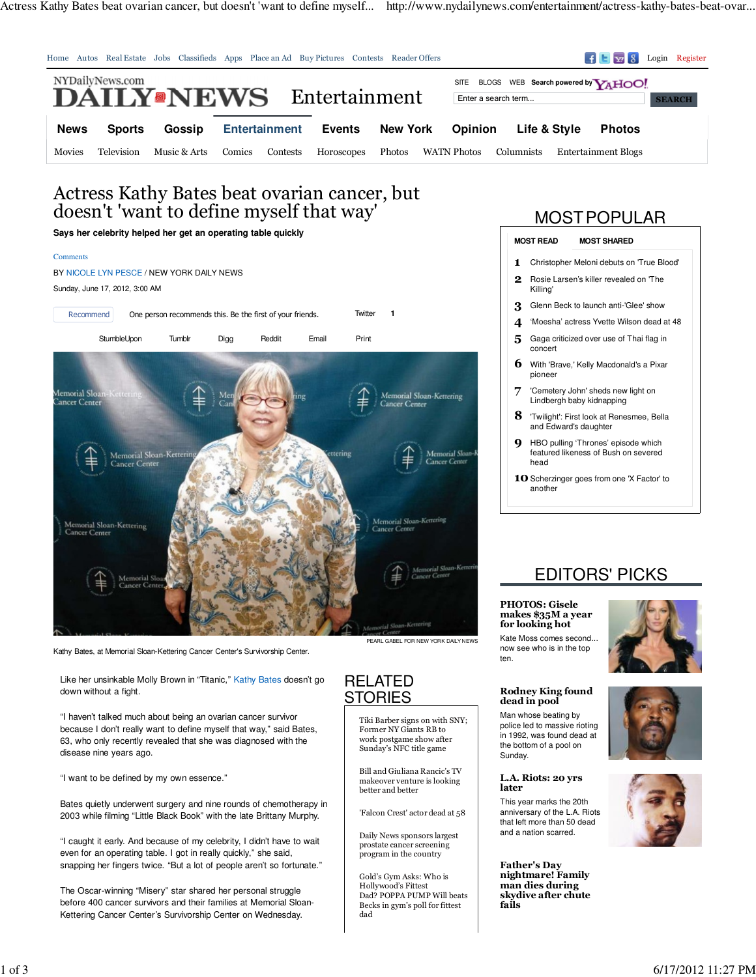

Kathy Bates, at Memorial Sloan-Kettering Cancer Center's Survivorship Center.

Like her unsinkable Molly Brown in "Titanic," Kathy Bates doesn't go down without a fight.

"I haven't talked much about being an ovarian cancer survivor because I don't really want to define myself that way," said Bates, 63, who only recently revealed that she was diagnosed with the disease nine years ago.

"I want to be defined by my own essence."

Bates quietly underwent surgery and nine rounds of chemotherapy in 2003 while filming "Little Black Book" with the late Brittany Murphy.

"I caught it early. And because of my celebrity, I didn't have to wait even for an operating table. I got in really quickly," she said, snapping her fingers twice. "But a lot of people aren't so fortunate."

The Oscar-winning "Misery" star shared her personal struggle before 400 cancer survivors and their families at Memorial Sloan-Kettering Cancer Center's Survivorship Center on Wednesday.

# RELATED STORIES

Tiki Barber signs on with SNY; Former NY Giants RB to work postgame show after Sunday's NFC title game

Bill and Giuliana Rancic's TV makeover venture is looking better and better

'Falcon Crest' actor dead at 58

Daily News sponsors largest prostate cancer screening program in the country

Gold's Gym Asks: Who is Hollywood's Fittest Dad? POPPA PUMP Will beats Becks in gym's poll for fittest dad

now see who is in the top ten.

**Rodney King found dead in pool** Man whose beating by police led to massive rioting in 1992, was found dead at the bottom of a pool on Sunday.

# **L.A. Riots: 20 yrs later**

This year marks the 20th anniversary of the L.A. Riots that left more than 50 dead and a nation scarred.

**Father's Day nightmare! Family man dies during skydive after chute fails**





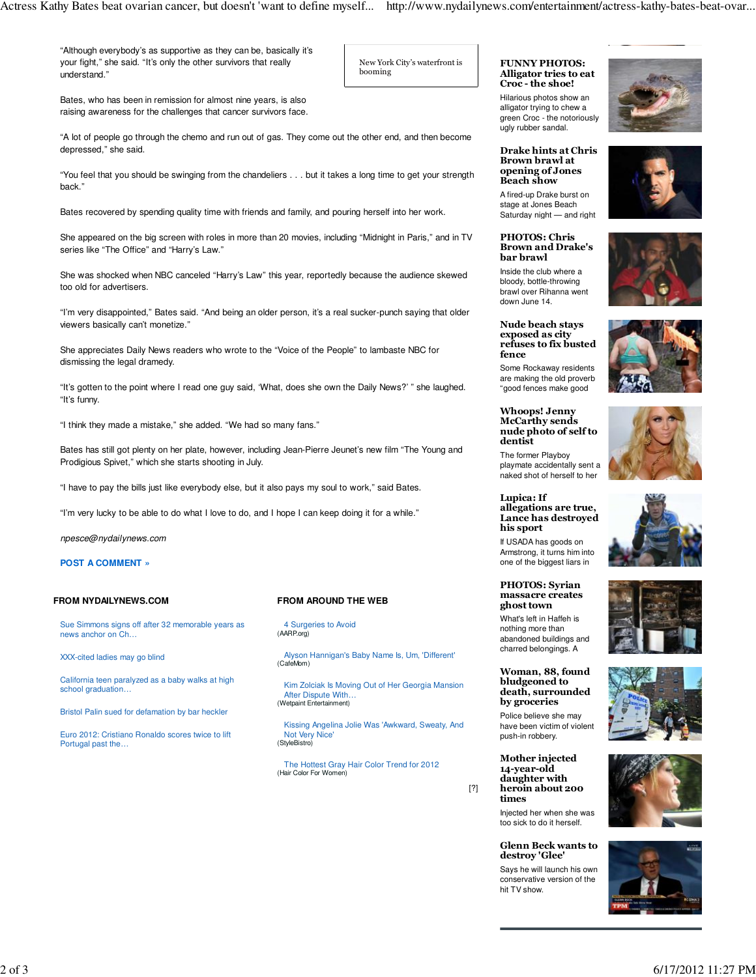Actress Kathy Bates beat ovarian cancer, but doesn't 'want to define myself... http://www.nydailynews.com/entertainment/actress-kathy-bates-beat-ovar...

"Although everybody's as supportive as they can be, basically it's your fight," she said. "It's only the other survivors that really understand."

Bates, who has been in remission for almost nine years, is also raising awareness for the challenges that cancer survivors face.

"A lot of people go through the chemo and run out of gas. They come out the other end, and then become depressed," she said.

"You feel that you should be swinging from the chandeliers . . . but it takes a long time to get your strength back."

Bates recovered by spending quality time with friends and family, and pouring herself into her work.

She appeared on the big screen with roles in more than 20 movies, including "Midnight in Paris," and in TV series like "The Office" and "Harry's Law."

She was shocked when NBC canceled "Harry's Law" this year, reportedly because the audience skewed too old for advertisers.

"I'm very disappointed," Bates said. "And being an older person, it's a real sucker-punch saying that older viewers basically can't monetize."

She appreciates Daily News readers who wrote to the "Voice of the People" to lambaste NBC for dismissing the legal dramedy.

"It's gotten to the point where I read one guy said, 'What, does she own the Daily News?' " she laughed. "It's funny.

"I think they made a mistake," she added. "We had so many fans."

Bates has still got plenty on her plate, however, including Jean-Pierre Jeunet's new film "The Young and Prodigious Spivet," which she starts shooting in July.

"I have to pay the bills just like everybody else, but it also pays my soul to work," said Bates.

"I'm very lucky to be able to do what I love to do, and I hope I can keep doing it for a while."

npesce@nydailynews.com

## **POST A COMMENT »**

# **FROM NYDAILYNEWS.COM**

Sue Simmons signs off after 32 memorable years as news anchor on Ch…

XXX-cited ladies may go blind

California teen paralyzed as a baby walks at high school graduation…

Bristol Palin sued for defamation by bar heckler

Euro 2012: Cristiano Ronaldo scores twice to lift Portugal past the…

# **FROM AROUND THE WEB**

4 Surgeries to Avoid (AARP.org)

Alyson Hannigan's Baby Name Is, Um, 'Different' (CafeMom)

Kim Zolciak Is Moving Out of Her Georgia Mansion After Dispute With… (Wetpaint Entertainment)

Kissing Angelina Jolie Was 'Awkward, Sweaty, And Not Very Nice' (StyleBistro)

The Hottest Gray Hair Color Trend for 2012 (Hair Color For Women)

[?]

## **FUNNY PHOTOS: Alligator tries to eat Croc - the shoe!**

New York City's waterfront is

booming

Hilarious photos show an alligator trying to chew a green Croc - the notoriously ugly rubber sandal.

#### **Drake hints at Chris Brown brawl at opening of Jones Beach show**

A fired-up Drake burst on stage at Jones Beach Saturday night — and right

## **PHOTOS: Chris Brown and Drake's bar brawl**

Inside the club where a bloody, bottle-throwing brawl over Rihanna went down June 14.

**Nude beach stays exposed as city refuses to fix busted fence** Some Rockaway residents are making the old proverb "good fences make good

**Whoops! Jenny McCarthy sends nude photo of self to dentist**

The former Playboy playmate accidentally sent a naked shot of herself to her

**Lupica: If allegations are true, Lance has destroyed his sport**

If USADA has goods on Armstrong, it turns him into one of the biggest liars in

## **PHOTOS: Syrian massacre creates ghost town**

What's left in Haffeh is nothing more than abandoned buildings and charred belongings. A

#### **Woman, 88, found bludgeoned to death, surrounded by groceries**

Police believe she may have been victim of violent push-in robbery.

## **Mother injected 14-year-old daughter with heroin about 200 times**

Injected her when she was too sick to do it herself.

# **Glenn Beck wants to destroy 'Glee'**

Says he will launch his own conservative version of the hit TV show.